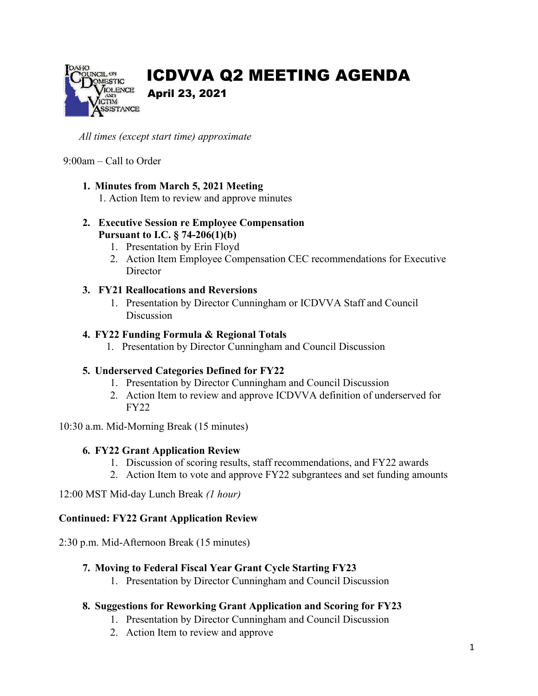

# ICDVVA Q2 MEETING AGENDA

# April 23, 2021

*All times (except start time) approximate* 

#### 9:00am – Call to Order

# **1. Minutes from March 5, 2021 Meeting**

1. Action Item to review and approve minutes

# **2. Executive Session re Employee Compensation Pursuant to I.C. § 74-206(1)(b)**

- 1. Presentation by Erin Floyd
- 2. Action Item Employee Compensation CEC recommendations for Executive **Director**

# **3. FY21 Reallocations and Reversions**

1. Presentation by Director Cunningham or ICDVVA Staff and Council Discussion

# **4. FY22 Funding Formula & Regional Totals**

1. Presentation by Director Cunningham and Council Discussion

# **5. Underserved Categories Defined for FY22**

- 1. Presentation by Director Cunningham and Council Discussion
- 2. Action Item to review and approve ICDVVA definition of underserved for FY22

10:30 a.m. Mid-Morning Break (15 minutes)

# **6. FY22 Grant Application Review**

- 1. Discussion of scoring results, staff recommendations, and FY22 awards
- 2. Action Item to vote and approve FY22 subgrantees and set funding amounts

12:00 MST Mid-day Lunch Break *(1 hour)* 

# **Continued: FY22 Grant Application Review**

2:30 p.m. Mid-Afternoon Break (15 minutes)

# **7. Moving to Federal Fiscal Year Grant Cycle Starting FY23**

1. Presentation by Director Cunningham and Council Discussion

# **8. Suggestions for Reworking Grant Application and Scoring for FY23**

- 1. Presentation by Director Cunningham and Council Discussion
- 2. Action Item to review and approve